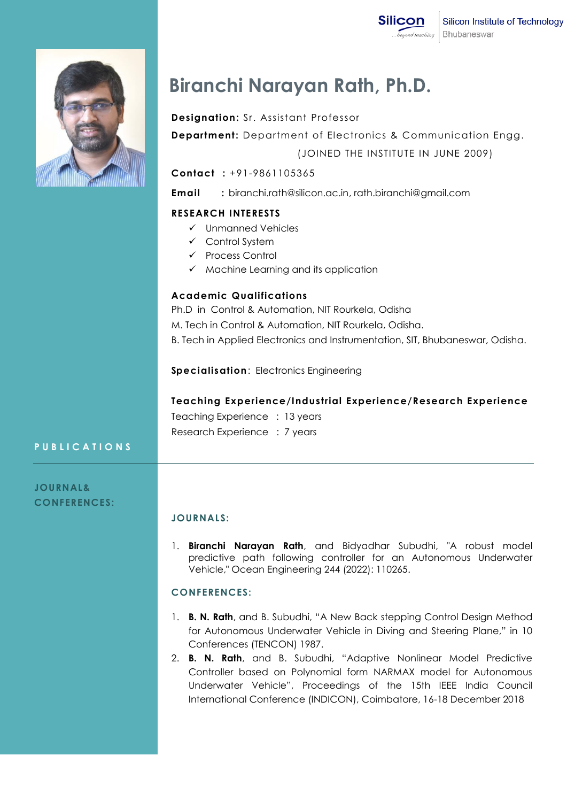

# **Biranchi Narayan Rath, Ph.D.**

## **Designation:** Sr. Assistant Professor

**Department:** Department of Electronics & Communication Engg. (JOINED THE INSTITUTE IN JUNE 2009)

## **Contact :** +91-9861105365

**Email :** biranchi.rath@silicon.ac.in, rath.biranchi@gmail.com

### **RESEARCH INTERESTS**

- $\checkmark$  Unmanned Vehicles
- $\checkmark$  Control System
- $\checkmark$  Process Control
- $\checkmark$  Machine Learning and its application

#### **Academic Qualifications**

Ph.D in Control & Automation, NIT Rourkela, Odisha M. Tech in Control & Automation, NIT Rourkela, Odisha. B. Tech in Applied Electronics and Instrumentation, SIT, Bhubaneswar, Odisha.

**Specialisation**: Electronics Engineering

### **Teaching Experience/Industrial Experience/Research Experience**

Teaching Experience : 13 years Research Experience : 7 years

### **P U B L I C A T I O N S**

**JOURNAL& CONFERENCES:**

### **JOURNALS:**

1. **Biranchi Narayan Rath**, and Bidyadhar Subudhi, "A robust model predictive path following controller for an Autonomous Underwater Vehicle," Ocean Engineering 244 (2022): 110265.

#### **CONFERENCES:**

- 1. **B. N. Rath**, and B. Subudhi, "A New Back stepping Control Design Method for Autonomous Underwater Vehicle in Diving and Steering Plane," in 10 Conferences (TENCON) 1987.
- 2. **B. N. Rath**, and B. Subudhi, "Adaptive Nonlinear Model Predictive Controller based on Polynomial form NARMAX model for Autonomous Underwater Vehicle", Proceedings of the 15th IEEE India Council International Conference (INDICON), Coimbatore, 16-18 December 2018